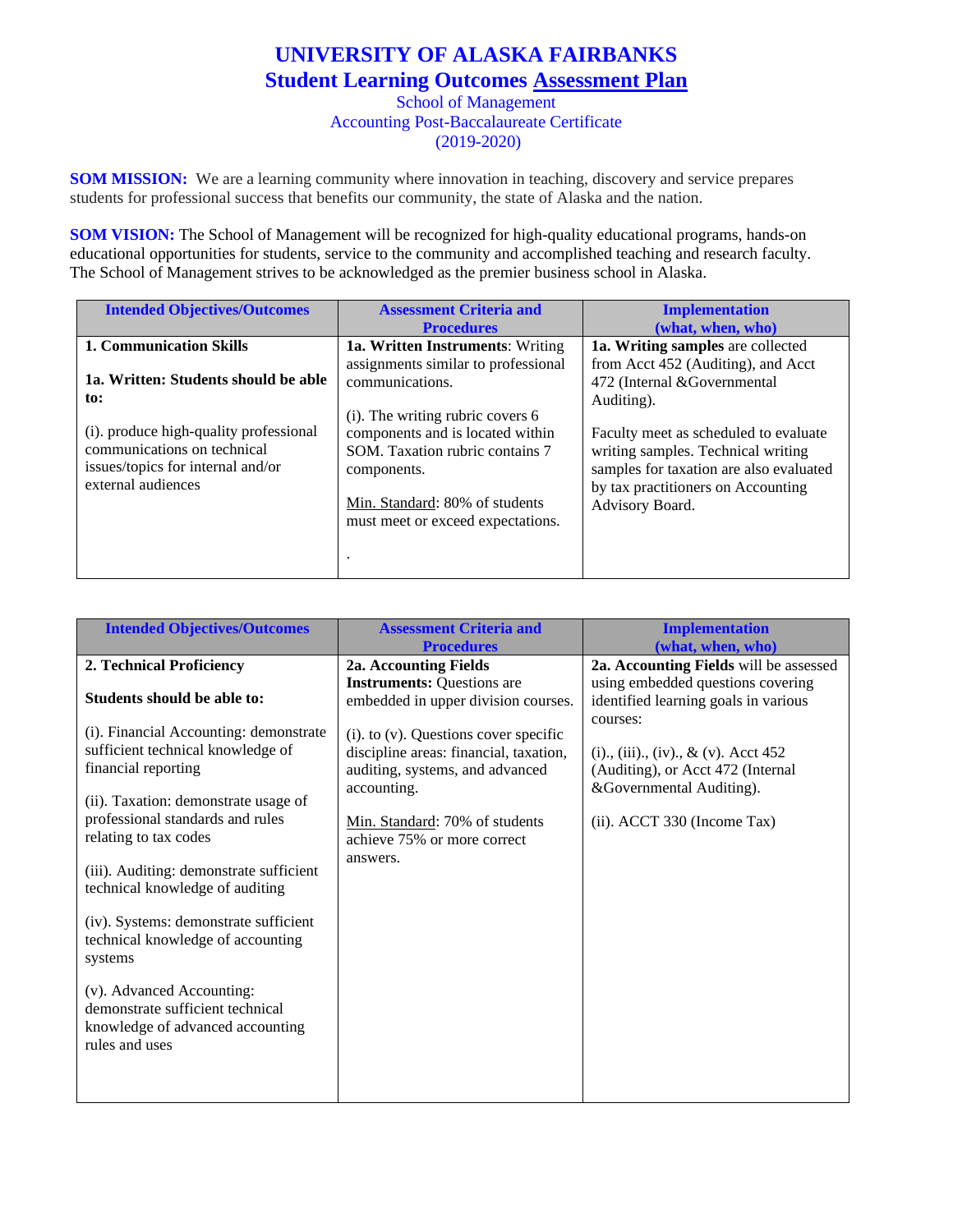## **UNIVERSITY OF ALASKA FAIRBANKS Student Learning Outcomes Assessment Plan**

School of Management Accounting Post-Baccalaureate Certificate (2019-2020)

**SOM MISSION:** We are a learning community where innovation in teaching, discovery and service prepares students for professional success that benefits our community, the state of Alaska and the nation.

**SOM VISION:** The School of Management will be recognized for high-quality educational programs, hands-on educational opportunities for students, service to the community and accomplished teaching and research faculty. The School of Management strives to be acknowledged as the premier business school in Alaska.

| <b>Intended Objectives/Outcomes</b>    | <b>Assessment Criteria and</b>          | <b>Implementation</b>                   |
|----------------------------------------|-----------------------------------------|-----------------------------------------|
|                                        | <b>Procedures</b>                       | (what, when, who)                       |
| <b>1. Communication Skills</b>         | <b>1a. Written Instruments: Writing</b> | 1a. Writing samples are collected       |
|                                        | assignments similar to professional     | from Acct 452 (Auditing), and Acct      |
| 1a. Written: Students should be able   | communications.                         | 472 (Internal &Governmental             |
| to:                                    |                                         | Auditing).                              |
|                                        | $(i)$ . The writing rubric covers 6     |                                         |
| (i). produce high-quality professional | components and is located within        | Faculty meet as scheduled to evaluate   |
| communications on technical            | SOM. Taxation rubric contains 7         | writing samples. Technical writing      |
| issues/topics for internal and/or      | components.                             | samples for taxation are also evaluated |
| external audiences                     |                                         | by tax practitioners on Accounting      |
|                                        | Min. Standard: 80% of students          | Advisory Board.                         |
|                                        | must meet or exceed expectations.       |                                         |
|                                        |                                         |                                         |
|                                        |                                         |                                         |
|                                        |                                         |                                         |

| <b>Intended Objectives/Outcomes</b>                                                                                                                                                                                                                                                                                                                                                                                                                                                                   | <b>Assessment Criteria and</b><br><b>Procedures</b>                                                                                                                                                                  | <b>Implementation</b><br>(what, when, who)                                                                                                         |
|-------------------------------------------------------------------------------------------------------------------------------------------------------------------------------------------------------------------------------------------------------------------------------------------------------------------------------------------------------------------------------------------------------------------------------------------------------------------------------------------------------|----------------------------------------------------------------------------------------------------------------------------------------------------------------------------------------------------------------------|----------------------------------------------------------------------------------------------------------------------------------------------------|
| 2. Technical Proficiency                                                                                                                                                                                                                                                                                                                                                                                                                                                                              | 2a. Accounting Fields                                                                                                                                                                                                | 2a. Accounting Fields will be assessed                                                                                                             |
| Students should be able to:                                                                                                                                                                                                                                                                                                                                                                                                                                                                           | <b>Instruments: Questions are</b><br>embedded in upper division courses.                                                                                                                                             | using embedded questions covering<br>identified learning goals in various                                                                          |
| (i). Financial Accounting: demonstrate<br>sufficient technical knowledge of<br>financial reporting<br>(ii). Taxation: demonstrate usage of<br>professional standards and rules<br>relating to tax codes<br>(iii). Auditing: demonstrate sufficient<br>technical knowledge of auditing<br>(iv). Systems: demonstrate sufficient<br>technical knowledge of accounting<br>systems<br>(v). Advanced Accounting:<br>demonstrate sufficient technical<br>knowledge of advanced accounting<br>rules and uses | $(i)$ . to $(v)$ . Questions cover specific<br>discipline areas: financial, taxation,<br>auditing, systems, and advanced<br>accounting.<br>Min. Standard: 70% of students<br>achieve 75% or more correct<br>answers. | courses:<br>(i)., (iii)., (iv)., & (v). Acct $452$<br>(Auditing), or Acct 472 (Internal<br>&Governmental Auditing).<br>(ii). ACCT 330 (Income Tax) |
|                                                                                                                                                                                                                                                                                                                                                                                                                                                                                                       |                                                                                                                                                                                                                      |                                                                                                                                                    |